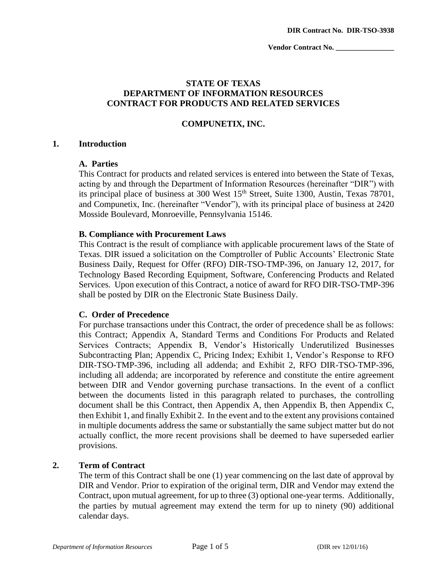# **STATE OF TEXAS DEPARTMENT OF INFORMATION RESOURCES CONTRACT FOR PRODUCTS AND RELATED SERVICES**

## **COMPUNETIX, INC.**

#### **1. Introduction**

## **A. Parties**

This Contract for products and related services is entered into between the State of Texas, acting by and through the Department of Information Resources (hereinafter "DIR") with its principal place of business at 300 West  $15<sup>th</sup>$  Street, Suite 1300, Austin, Texas 78701, and Compunetix, Inc. (hereinafter "Vendor"), with its principal place of business at 2420 Mosside Boulevard, Monroeville, Pennsylvania 15146.

## **B. Compliance with Procurement Laws**

This Contract is the result of compliance with applicable procurement laws of the State of Texas. DIR issued a solicitation on the Comptroller of Public Accounts' Electronic State Business Daily, Request for Offer (RFO) DIR-TSO-TMP-396, on January 12, 2017, for Technology Based Recording Equipment, Software, Conferencing Products and Related Services. Upon execution of this Contract, a notice of award for RFO DIR-TSO-TMP-396 shall be posted by DIR on the Electronic State Business Daily.

## **C. Order of Precedence**

For purchase transactions under this Contract, the order of precedence shall be as follows: this Contract; Appendix A, Standard Terms and Conditions For Products and Related Services Contracts; Appendix B, Vendor's Historically Underutilized Businesses Subcontracting Plan; Appendix C, Pricing Index; Exhibit 1, Vendor's Response to RFO DIR-TSO-TMP-396, including all addenda; and Exhibit 2, RFO DIR-TSO-TMP-396, including all addenda; are incorporated by reference and constitute the entire agreement between DIR and Vendor governing purchase transactions. In the event of a conflict between the documents listed in this paragraph related to purchases, the controlling document shall be this Contract, then Appendix A, then Appendix B, then Appendix C, then Exhibit 1, and finally Exhibit 2. In the event and to the extent any provisions contained in multiple documents address the same or substantially the same subject matter but do not actually conflict, the more recent provisions shall be deemed to have superseded earlier provisions.

## **2. Term of Contract**

The term of this Contract shall be one (1) year commencing on the last date of approval by DIR and Vendor. Prior to expiration of the original term, DIR and Vendor may extend the Contract, upon mutual agreement, for up to three (3) optional one-year terms. Additionally, the parties by mutual agreement may extend the term for up to ninety (90) additional calendar days.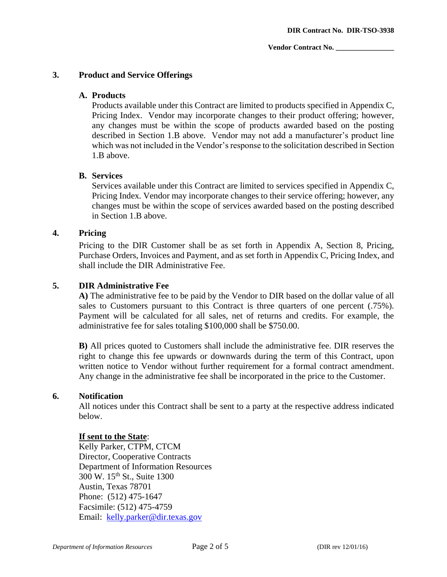# **3. Product and Service Offerings**

# **A. Products**

Products available under this Contract are limited to products specified in Appendix C, Pricing Index. Vendor may incorporate changes to their product offering; however, any changes must be within the scope of products awarded based on the posting described in Section 1.B above. Vendor may not add a manufacturer's product line which was not included in the Vendor's response to the solicitation described in Section 1.B above.

## **B. Services**

Services available under this Contract are limited to services specified in Appendix C, Pricing Index*.* Vendor may incorporate changes to their service offering; however, any changes must be within the scope of services awarded based on the posting described in Section 1.B above.

## **4. Pricing**

Pricing to the DIR Customer shall be as set forth in Appendix A, Section 8, Pricing, Purchase Orders, Invoices and Payment, and as set forth in Appendix C, Pricing Index, and shall include the DIR Administrative Fee.

# **5. DIR Administrative Fee**

**A)** The administrative fee to be paid by the Vendor to DIR based on the dollar value of all sales to Customers pursuant to this Contract is three quarters of one percent (.75%). Payment will be calculated for all sales, net of returns and credits. For example, the administrative fee for sales totaling \$100,000 shall be \$750.00.

**B)** All prices quoted to Customers shall include the administrative fee. DIR reserves the right to change this fee upwards or downwards during the term of this Contract, upon written notice to Vendor without further requirement for a formal contract amendment. Any change in the administrative fee shall be incorporated in the price to the Customer.

## **6. Notification**

All notices under this Contract shall be sent to a party at the respective address indicated below.

# **If sent to the State**:

Kelly Parker, CTPM, CTCM Director, Cooperative Contracts Department of Information Resources 300 W. 15th St., Suite 1300 Austin, Texas 78701 Phone: (512) 475-1647 Facsimile: (512) 475-4759 Email: [kelly.parker@dir.texas.gov](mailto:kelly.parker@dir.texas.gov)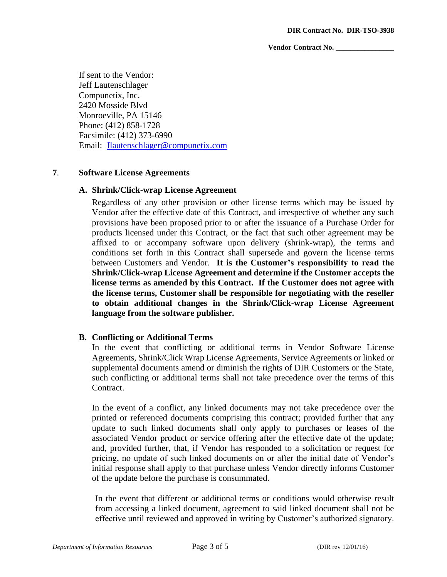If sent to the Vendor: Jeff Lautenschlager Compunetix, Inc. 2420 Mosside Blvd Monroeville, PA 15146 Phone: (412) 858-1728 Facsimile: (412) 373-6990 Email: [Jlautenschlager@compunetix.com](mailto:Jlautenschlager@compunetix.com)

## **7**. **Software License Agreements**

#### **A. Shrink/Click-wrap License Agreement**

Regardless of any other provision or other license terms which may be issued by Vendor after the effective date of this Contract, and irrespective of whether any such provisions have been proposed prior to or after the issuance of a Purchase Order for products licensed under this Contract, or the fact that such other agreement may be affixed to or accompany software upon delivery (shrink-wrap), the terms and conditions set forth in this Contract shall supersede and govern the license terms between Customers and Vendor. **It is the Customer's responsibility to read the Shrink/Click-wrap License Agreement and determine if the Customer accepts the license terms as amended by this Contract. If the Customer does not agree with the license terms, Customer shall be responsible for negotiating with the reseller to obtain additional changes in the Shrink/Click-wrap License Agreement language from the software publisher.**

## **B. Conflicting or Additional Terms**

In the event that conflicting or additional terms in Vendor Software License Agreements, Shrink/Click Wrap License Agreements, Service Agreements or linked or supplemental documents amend or diminish the rights of DIR Customers or the State, such conflicting or additional terms shall not take precedence over the terms of this Contract.

In the event of a conflict, any linked documents may not take precedence over the printed or referenced documents comprising this contract; provided further that any update to such linked documents shall only apply to purchases or leases of the associated Vendor product or service offering after the effective date of the update; and, provided further, that, if Vendor has responded to a solicitation or request for pricing, no update of such linked documents on or after the initial date of Vendor's initial response shall apply to that purchase unless Vendor directly informs Customer of the update before the purchase is consummated.

In the event that different or additional terms or conditions would otherwise result from accessing a linked document, agreement to said linked document shall not be effective until reviewed and approved in writing by Customer's authorized signatory.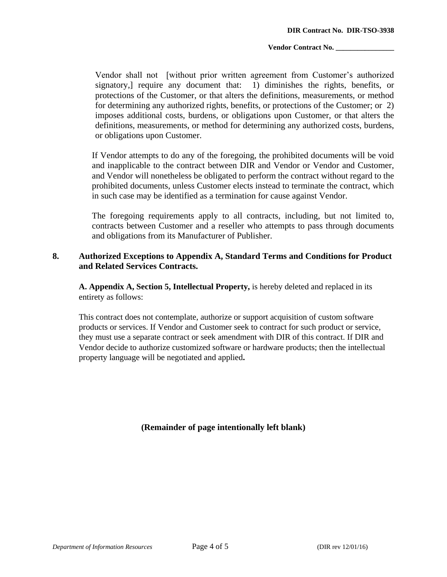Vendor shall not [without prior written agreement from Customer's authorized signatory,] require any document that: 1) diminishes the rights, benefits, or protections of the Customer, or that alters the definitions, measurements, or method for determining any authorized rights, benefits, or protections of the Customer; or 2) imposes additional costs, burdens, or obligations upon Customer, or that alters the definitions, measurements, or method for determining any authorized costs, burdens, or obligations upon Customer.

If Vendor attempts to do any of the foregoing, the prohibited documents will be void and inapplicable to the contract between DIR and Vendor or Vendor and Customer, and Vendor will nonetheless be obligated to perform the contract without regard to the prohibited documents, unless Customer elects instead to terminate the contract, which in such case may be identified as a termination for cause against Vendor.

The foregoing requirements apply to all contracts, including, but not limited to, contracts between Customer and a reseller who attempts to pass through documents and obligations from its Manufacturer of Publisher.

# **8. Authorized Exceptions to Appendix A, Standard Terms and Conditions for Product and Related Services Contracts.**

**A. Appendix A, Section 5, Intellectual Property,** is hereby deleted and replaced in its entirety as follows:

This contract does not contemplate, authorize or support acquisition of custom software products or services. If Vendor and Customer seek to contract for such product or service, they must use a separate contract or seek amendment with DIR of this contract. If DIR and Vendor decide to authorize customized software or hardware products; then the intellectual property language will be negotiated and applied**.**

**(Remainder of page intentionally left blank)**